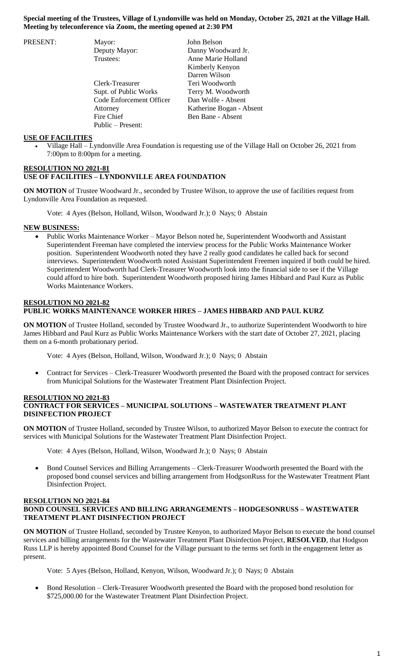| PRESENT: | Mayor:                   | John Belson              |
|----------|--------------------------|--------------------------|
|          | Deputy Mayor:            | Danny Woodward Jr.       |
|          | Trustees:                | Anne Marie Holland       |
|          |                          | Kimberly Kenyon          |
|          |                          | Darren Wilson            |
|          | Clerk-Treasurer          | Teri Woodworth           |
|          | Supt. of Public Works    | Terry M. Woodworth       |
|          | Code Enforcement Officer | Dan Wolfe - Absent       |
|          | Attorney                 | Katherine Bogan - Absent |
|          | Fire Chief               | Ben Bane - Absent        |
|          | Public – Present:        |                          |

### **USE OF FACILITIES**

 Village Hall – Lyndonville Area Foundation is requesting use of the Village Hall on October 26, 2021 from 7:00pm to 8:00pm for a meeting.

### **RESOLUTION NO 2021-81 USE OF FACILITIES – LYNDONVILLE AREA FOUNDATION**

**ON MOTION** of Trustee Woodward Jr., seconded by Trustee Wilson, to approve the use of facilities request from Lyndonville Area Foundation as requested.

Vote: 4 Ayes (Belson, Holland, Wilson, Woodward Jr.); 0 Nays; 0 Abstain

### **NEW BUSINESS:**

 Public Works Maintenance Worker – Mayor Belson noted he, Superintendent Woodworth and Assistant Superintendent Freeman have completed the interview process for the Public Works Maintenance Worker position. Superintendent Woodworth noted they have 2 really good candidates he called back for second interviews. Superintendent Woodworth noted Assistant Superintendent Freemen inquired if both could be hired. Superintendent Woodworth had Clerk-Treasurer Woodworth look into the financial side to see if the Village could afford to hire both. Superintendent Woodworth proposed hiring James Hibbard and Paul Kurz as Public Works Maintenance Workers.

## **RESOLUTION NO 2021-82 PUBLIC WORKS MAINTENANCE WORKER HIRES – JAMES HIBBARD AND PAUL KURZ**

**ON MOTION** of Trustee Holland, seconded by Trustee Woodward Jr., to authorize Superintendent Woodworth to hire James Hibbard and Paul Kurz as Public Works Maintenance Workers with the start date of October 27, 2021, placing them on a 6-month probationary period.

Vote: 4 Ayes (Belson, Holland, Wilson, Woodward Jr.); 0 Nays; 0 Abstain

 Contract for Services – Clerk-Treasurer Woodworth presented the Board with the proposed contract for services from Municipal Solutions for the Wastewater Treatment Plant Disinfection Project.

### **RESOLUTION NO 2021-83 CONTRACT FOR SERVICES – MUNICIPAL SOLUTIONS – WASTEWATER TREATMENT PLANT DISINFECTION PROJECT**

**ON MOTION** of Trustee Holland, seconded by Trustee Wilson, to authorized Mayor Belson to execute the contract for services with Municipal Solutions for the Wastewater Treatment Plant Disinfection Project.

Vote: 4 Ayes (Belson, Holland, Wilson, Woodward Jr.); 0 Nays; 0 Abstain

 Bond Counsel Services and Billing Arrangements – Clerk-Treasurer Woodworth presented the Board with the proposed bond counsel services and billing arrangement from HodgsonRuss for the Wastewater Treatment Plant Disinfection Project.

## **RESOLUTION NO 2021-84 BOND COUNSEL SERVICES AND BILLING ARRANGEMENTS – HODGESONRUSS – WASTEWATER TREATMENT PLANT DISINFECTION PROJECT**

**ON MOTION** of Trustee Holland, seconded by Trustee Kenyon, to authorized Mayor Belson to execute the bond counsel services and billing arrangements for the Wastewater Treatment Plant Disinfection Project, **RESOLVED**, that Hodgson Russ LLP is hereby appointed Bond Counsel for the Village pursuant to the terms set forth in the engagement letter as present.

Vote: 5 Ayes (Belson, Holland, Kenyon, Wilson, Woodward Jr.); 0 Nays; 0 Abstain

 Bond Resolution – Clerk-Treasurer Woodworth presented the Board with the proposed bond resolution for \$725,000.00 for the Wastewater Treatment Plant Disinfection Project.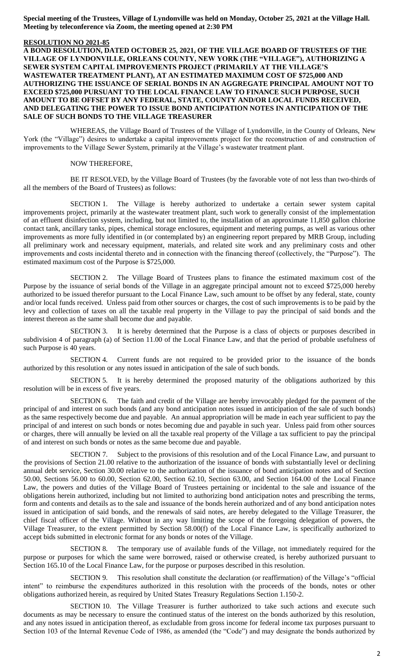#### **RESOLUTION NO 2021-85**

**A BOND RESOLUTION, DATED OCTOBER 25, 2021, OF THE VILLAGE BOARD OF TRUSTEES OF THE VILLAGE OF LYNDONVILLE, ORLEANS COUNTY, NEW YORK (THE "VILLAGE"), AUTHORIZING A SEWER SYSTEM CAPITAL IMPROVEMENTS PROJECT (PRIMARILY AT THE VILLAGE'S WASTEWATER TREATMENT PLANT), AT AN ESTIMATED MAXIMUM COST OF \$725,000 AND AUTHORIZING THE ISSUANCE OF SERIAL BONDS IN AN AGGREGATE PRINCIPAL AMOUNT NOT TO EXCEED \$725,000 PURSUANT TO THE LOCAL FINANCE LAW TO FINANCE SUCH PURPOSE, SUCH AMOUNT TO BE OFFSET BY ANY FEDERAL, STATE, COUNTY AND/OR LOCAL FUNDS RECEIVED, AND DELEGATING THE POWER TO ISSUE BOND ANTICIPATION NOTES IN ANTICIPATION OF THE SALE OF SUCH BONDS TO THE VILLAGE TREASURER**

WHEREAS, the Village Board of Trustees of the Village of Lyndonville, in the County of Orleans, New York (the "Village") desires to undertake a capital improvements project for the reconstruction of and construction of improvements to the Village Sewer System, primarily at the Village's wastewater treatment plant.

#### NOW THEREFORE,

BE IT RESOLVED, by the Village Board of Trustees (by the favorable vote of not less than two-thirds of all the members of the Board of Trustees) as follows:

SECTION 1. The Village is hereby authorized to undertake a certain sewer system capital improvements project, primarily at the wastewater treatment plant, such work to generally consist of the implementation of an effluent disinfection system, including, but not limited to, the installation of an approximate 11,850 gallon chlorine contact tank, ancillary tanks, pipes, chemical storage enclosures, equipment and metering pumps, as well as various other improvements as more fully identified in (or contemplated by) an engineering report prepared by MRB Group, including all preliminary work and necessary equipment, materials, and related site work and any preliminary costs and other improvements and costs incidental thereto and in connection with the financing thereof (collectively, the "Purpose"). The estimated maximum cost of the Purpose is \$725,000.

SECTION 2. The Village Board of Trustees plans to finance the estimated maximum cost of the Purpose by the issuance of serial bonds of the Village in an aggregate principal amount not to exceed \$725,000 hereby authorized to be issued therefor pursuant to the Local Finance Law, such amount to be offset by any federal, state, county and/or local funds received. Unless paid from other sources or charges, the cost of such improvements is to be paid by the levy and collection of taxes on all the taxable real property in the Village to pay the principal of said bonds and the interest thereon as the same shall become due and payable.

SECTION 3. It is hereby determined that the Purpose is a class of objects or purposes described in subdivision 4 of paragraph (a) of Section 11.00 of the Local Finance Law, and that the period of probable usefulness of such Purpose is 40 years.

SECTION 4. Current funds are not required to be provided prior to the issuance of the bonds authorized by this resolution or any notes issued in anticipation of the sale of such bonds.

SECTION 5. It is hereby determined the proposed maturity of the obligations authorized by this resolution will be in excess of five years.

SECTION 6. The faith and credit of the Village are hereby irrevocably pledged for the payment of the principal of and interest on such bonds (and any bond anticipation notes issued in anticipation of the sale of such bonds) as the same respectively become due and payable. An annual appropriation will be made in each year sufficient to pay the principal of and interest on such bonds or notes becoming due and payable in such year. Unless paid from other sources or charges, there will annually be levied on all the taxable real property of the Village a tax sufficient to pay the principal of and interest on such bonds or notes as the same become due and payable.

SECTION 7. Subject to the provisions of this resolution and of the Local Finance Law, and pursuant to the provisions of Section 21.00 relative to the authorization of the issuance of bonds with substantially level or declining annual debt service, Section 30.00 relative to the authorization of the issuance of bond anticipation notes and of Section 50.00, Sections 56.00 to 60.00, Section 62.00, Section 62.10, Section 63.00, and Section 164.00 of the Local Finance Law, the powers and duties of the Village Board of Trustees pertaining or incidental to the sale and issuance of the obligations herein authorized, including but not limited to authorizing bond anticipation notes and prescribing the terms, form and contents and details as to the sale and issuance of the bonds herein authorized and of any bond anticipation notes issued in anticipation of said bonds, and the renewals of said notes, are hereby delegated to the Village Treasurer, the chief fiscal officer of the Village. Without in any way limiting the scope of the foregoing delegation of powers, the Village Treasurer, to the extent permitted by Section 58.00(f) of the Local Finance Law, is specifically authorized to accept bids submitted in electronic format for any bonds or notes of the Village.

SECTION 8. The temporary use of available funds of the Village, not immediately required for the purpose or purposes for which the same were borrowed, raised or otherwise created, is hereby authorized pursuant to Section 165.10 of the Local Finance Law, for the purpose or purposes described in this resolution.

SECTION 9. This resolution shall constitute the declaration (or reaffirmation) of the Village's "official intent" to reimburse the expenditures authorized in this resolution with the proceeds of the bonds, notes or other obligations authorized herein, as required by United States Treasury Regulations Section 1.150-2.

SECTION 10. The Village Treasurer is further authorized to take such actions and execute such documents as may be necessary to ensure the continued status of the interest on the bonds authorized by this resolution, and any notes issued in anticipation thereof, as excludable from gross income for federal income tax purposes pursuant to Section 103 of the Internal Revenue Code of 1986, as amended (the "Code") and may designate the bonds authorized by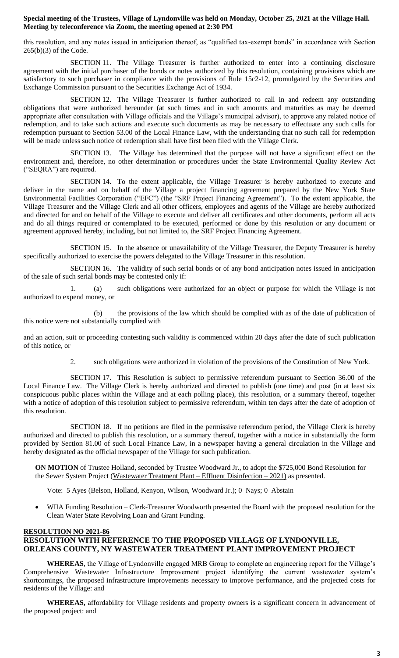this resolution, and any notes issued in anticipation thereof, as "qualified tax-exempt bonds" in accordance with Section 265(b)(3) of the Code.

SECTION 11. The Village Treasurer is further authorized to enter into a continuing disclosure agreement with the initial purchaser of the bonds or notes authorized by this resolution, containing provisions which are satisfactory to such purchaser in compliance with the provisions of Rule 15c2-12, promulgated by the Securities and Exchange Commission pursuant to the Securities Exchange Act of 1934.

SECTION 12. The Village Treasurer is further authorized to call in and redeem any outstanding obligations that were authorized hereunder (at such times and in such amounts and maturities as may be deemed appropriate after consultation with Village officials and the Village's municipal advisor), to approve any related notice of redemption, and to take such actions and execute such documents as may be necessary to effectuate any such calls for redemption pursuant to Section 53.00 of the Local Finance Law, with the understanding that no such call for redemption will be made unless such notice of redemption shall have first been filed with the Village Clerk.

SECTION 13. The Village has determined that the purpose will not have a significant effect on the environment and, therefore, no other determination or procedures under the State Environmental Quality Review Act ("SEQRA") are required.

SECTION 14. To the extent applicable, the Village Treasurer is hereby authorized to execute and deliver in the name and on behalf of the Village a project financing agreement prepared by the New York State Environmental Facilities Corporation ("EFC") (the "SRF Project Financing Agreement"). To the extent applicable, the Village Treasurer and the Village Clerk and all other officers, employees and agents of the Village are hereby authorized and directed for and on behalf of the Village to execute and deliver all certificates and other documents, perform all acts and do all things required or contemplated to be executed, performed or done by this resolution or any document or agreement approved hereby, including, but not limited to, the SRF Project Financing Agreement.

SECTION 15. In the absence or unavailability of the Village Treasurer, the Deputy Treasurer is hereby specifically authorized to exercise the powers delegated to the Village Treasurer in this resolution.

SECTION 16. The validity of such serial bonds or of any bond anticipation notes issued in anticipation of the sale of such serial bonds may be contested only if:

1. (a) such obligations were authorized for an object or purpose for which the Village is not authorized to expend money, or

(b) the provisions of the law which should be complied with as of the date of publication of this notice were not substantially complied with

and an action, suit or proceeding contesting such validity is commenced within 20 days after the date of such publication of this notice, or

2. such obligations were authorized in violation of the provisions of the Constitution of New York.

SECTION 17. This Resolution is subject to permissive referendum pursuant to Section 36.00 of the Local Finance Law. The Village Clerk is hereby authorized and directed to publish (one time) and post (in at least six conspicuous public places within the Village and at each polling place), this resolution, or a summary thereof, together with a notice of adoption of this resolution subject to permissive referendum, within ten days after the date of adoption of this resolution.

SECTION 18. If no petitions are filed in the permissive referendum period, the Village Clerk is hereby authorized and directed to publish this resolution, or a summary thereof, together with a notice in substantially the form provided by Section 81.00 of such Local Finance Law, in a newspaper having a general circulation in the Village and hereby designated as the official newspaper of the Village for such publication.

**ON MOTION** of Trustee Holland, seconded by Trustee Woodward Jr., to adopt the \$725,000 Bond Resolution for the Sewer System Project (Wastewater Treatment Plant – Effluent Disinfection – 2021) as presented.

Vote: 5 Ayes (Belson, Holland, Kenyon, Wilson, Woodward Jr.); 0 Nays; 0 Abstain

 WIIA Funding Resolution – Clerk-Treasurer Woodworth presented the Board with the proposed resolution for the Clean Water State Revolving Loan and Grant Funding.

## **RESOLUTION NO 2021-86 RESOLUTION WITH REFERENCE TO THE PROPOSED VILLAGE OF LYNDONVILLE, ORLEANS COUNTY, NY WASTEWATER TREATMENT PLANT IMPROVEMENT PROJECT**

**WHEREAS**, the Village of Lyndonville engaged MRB Group to complete an engineering report for the Village's Comprehensive Wastewater Infrastructure Improvement project identifying the current wastewater system's shortcomings, the proposed infrastructure improvements necessary to improve performance, and the projected costs for residents of the Village: and

**WHEREAS,** affordability for Village residents and property owners is a significant concern in advancement of the proposed project: and